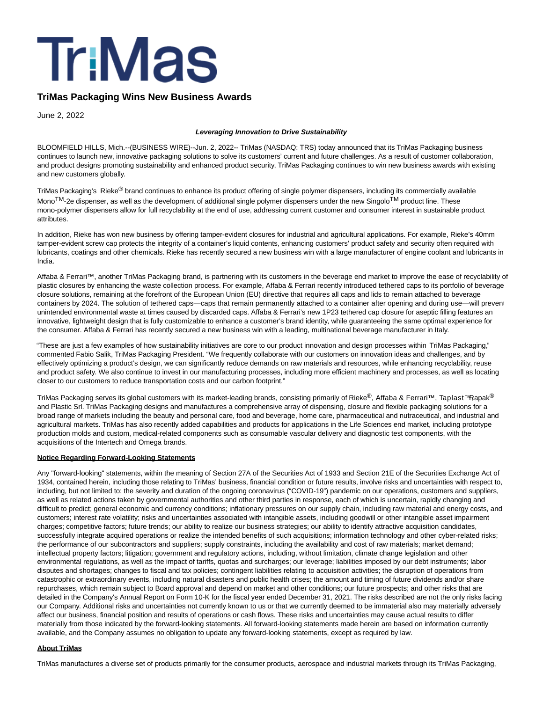

## **TriMas Packaging Wins New Business Awards**

June 2, 2022

## **Leveraging Innovation to Drive Sustainability**

BLOOMFIELD HILLS, Mich.--(BUSINESS WIRE)--Jun. 2, 2022-- TriMas (NASDAQ: TRS) today announced that its TriMas Packaging business continues to launch new, innovative packaging solutions to solve its customers' current and future challenges. As a result of customer collaboration, and product designs promoting sustainability and enhanced product security, TriMas Packaging continues to win new business awards with existing and new customers globally.

TriMas Packaging's Rieke® brand continues to enhance its product offering of single polymer dispensers, including its commercially available Mono<sup>TM</sup>-2e dispenser, as well as the development of additional single polymer dispensers under the new Singolo<sup>TM</sup> product line. These mono-polymer dispensers allow for full recyclability at the end of use, addressing current customer and consumer interest in sustainable product attributes.

In addition, Rieke has won new business by offering tamper-evident closures for industrial and agricultural applications. For example, Rieke's 40mm tamper-evident screw cap protects the integrity of a container's liquid contents, enhancing customers' product safety and security often required with lubricants, coatings and other chemicals. Rieke has recently secured a new business win with a large manufacturer of engine coolant and lubricants in India.

Affaba & Ferrari™, another TriMas Packaging brand, is partnering with its customers in the beverage end market to improve the ease of recyclability of plastic closures by enhancing the waste collection process. For example, Affaba & Ferrari recently introduced tethered caps to its portfolio of beverage closure solutions, remaining at the forefront of the European Union (EU) directive that requires all caps and lids to remain attached to beverage containers by 2024. The solution of tethered caps—caps that remain permanently attached to a container after opening and during use—will prevent unintended environmental waste at times caused by discarded caps. Affaba & Ferrari's new 1P23 tethered cap closure for aseptic filling features an innovative, lightweight design that is fully customizable to enhance a customer's brand identity, while guaranteeing the same optimal experience for the consumer. Affaba & Ferrari has recently secured a new business win with a leading, multinational beverage manufacturer in Italy.

"These are just a few examples of how sustainability initiatives are core to our product innovation and design processes within TriMas Packaging," commented Fabio Salik, TriMas Packaging President. "We frequently collaborate with our customers on innovation ideas and challenges, and by effectively optimizing a product's design, we can significantly reduce demands on raw materials and resources, while enhancing recyclability, reuse and product safety. We also continue to invest in our manufacturing processes, including more efficient machinery and processes, as well as locating closer to our customers to reduce transportation costs and our carbon footprint."

TriMas Packaging serves its global customers with its market-leading brands, consisting primarily of Rieke®, Affaba & Ferrari™, Taplast™Rapak<sup>®</sup> and Plastic Srl. TriMas Packaging designs and manufactures a comprehensive array of dispensing, closure and flexible packaging solutions for a broad range of markets including the beauty and personal care, food and beverage, home care, pharmaceutical and nutraceutical, and industrial and agricultural markets. TriMas has also recently added capabilities and products for applications in the Life Sciences end market, including prototype production molds and custom, medical-related components such as consumable vascular delivery and diagnostic test components, with the acquisitions of the Intertech and Omega brands.

## **Notice Regarding Forward-Looking Statements**

Any "forward-looking" statements, within the meaning of Section 27A of the Securities Act of 1933 and Section 21E of the Securities Exchange Act of 1934, contained herein, including those relating to TriMas' business, financial condition or future results, involve risks and uncertainties with respect to, including, but not limited to: the severity and duration of the ongoing coronavirus ("COVID-19") pandemic on our operations, customers and suppliers, as well as related actions taken by governmental authorities and other third parties in response, each of which is uncertain, rapidly changing and difficult to predict; general economic and currency conditions; inflationary pressures on our supply chain, including raw material and energy costs, and customers; interest rate volatility; risks and uncertainties associated with intangible assets, including goodwill or other intangible asset impairment charges; competitive factors; future trends; our ability to realize our business strategies; our ability to identify attractive acquisition candidates, successfully integrate acquired operations or realize the intended benefits of such acquisitions; information technology and other cyber-related risks; the performance of our subcontractors and suppliers; supply constraints, including the availability and cost of raw materials; market demand; intellectual property factors; litigation; government and regulatory actions, including, without limitation, climate change legislation and other environmental regulations, as well as the impact of tariffs, quotas and surcharges; our leverage; liabilities imposed by our debt instruments; labor disputes and shortages; changes to fiscal and tax policies; contingent liabilities relating to acquisition activities; the disruption of operations from catastrophic or extraordinary events, including natural disasters and public health crises; the amount and timing of future dividends and/or share repurchases, which remain subject to Board approval and depend on market and other conditions; our future prospects; and other risks that are detailed in the Company's Annual Report on Form 10-K for the fiscal year ended December 31, 2021. The risks described are not the only risks facing our Company. Additional risks and uncertainties not currently known to us or that we currently deemed to be immaterial also may materially adversely affect our business, financial position and results of operations or cash flows. These risks and uncertainties may cause actual results to differ materially from those indicated by the forward-looking statements. All forward-looking statements made herein are based on information currently available, and the Company assumes no obligation to update any forward-looking statements, except as required by law.

## **About TriMas**

TriMas manufactures a diverse set of products primarily for the consumer products, aerospace and industrial markets through its TriMas Packaging,